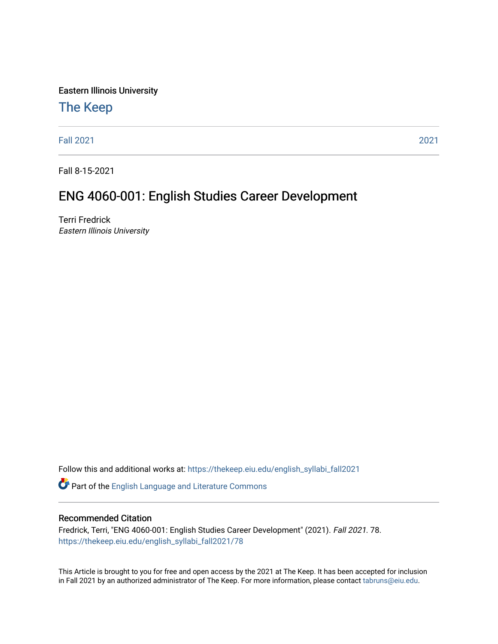Eastern Illinois University

## [The Keep](https://thekeep.eiu.edu/)

[Fall 2021](https://thekeep.eiu.edu/english_syllabi_fall2021) [2021](https://thekeep.eiu.edu/english_syllabi2021) 

Fall 8-15-2021

# ENG 4060-001: English Studies Career Development

Terri Fredrick Eastern Illinois University

Follow this and additional works at: [https://thekeep.eiu.edu/english\\_syllabi\\_fall2021](https://thekeep.eiu.edu/english_syllabi_fall2021?utm_source=thekeep.eiu.edu%2Fenglish_syllabi_fall2021%2F78&utm_medium=PDF&utm_campaign=PDFCoverPages) 

Part of the [English Language and Literature Commons](http://network.bepress.com/hgg/discipline/455?utm_source=thekeep.eiu.edu%2Fenglish_syllabi_fall2021%2F78&utm_medium=PDF&utm_campaign=PDFCoverPages)

#### Recommended Citation

Fredrick, Terri, "ENG 4060-001: English Studies Career Development" (2021). Fall 2021. 78. [https://thekeep.eiu.edu/english\\_syllabi\\_fall2021/78](https://thekeep.eiu.edu/english_syllabi_fall2021/78?utm_source=thekeep.eiu.edu%2Fenglish_syllabi_fall2021%2F78&utm_medium=PDF&utm_campaign=PDFCoverPages)

This Article is brought to you for free and open access by the 2021 at The Keep. It has been accepted for inclusion in Fall 2021 by an authorized administrator of The Keep. For more information, please contact [tabruns@eiu.edu](mailto:tabruns@eiu.edu).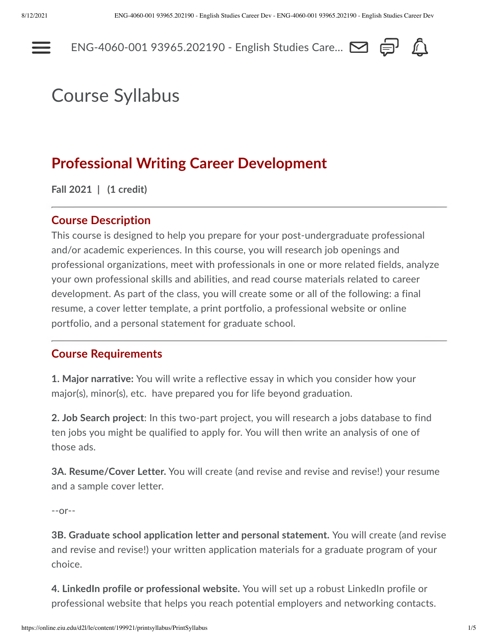---



# Course Syllabus

# **Professional Writing Career Development**

**Fall 2021 | (1 credit)**

#### **Course Description**

This course is designed to help you prepare for your post-undergraduate professional and/or academic experiences. In this course, you will research job openings and professional organizations, meet with professionals in one or more related fields, analyze your own professional skills and abilities, and read course materials related to career development. As part of the class, you will create some or all of the following: a final resume, a cover letter template, a print portfolio, a professional website or online portfolio, and a personal statement for graduate school.

#### **Course Requirements**

**1. Major narrative:** You will write a reflective essay in which you consider how your major(s), minor(s), etc. have prepared you for life beyond graduation.

**2. Job Search project**: In this two-part project, you will research a jobs database to find ten jobs you might be qualified to apply for. You will then write an analysis of one of those ads.

**3A. Resume/Cover Letter.** You will create (and revise and revise and revise!) your resume and a sample cover letter.

--or--

**3B. Graduate school application letter and personal statement.** You will create (and revise and revise and revise!) your written application materials for a graduate program of your choice.

**4. LinkedIn profile or professional website.** You will set up a robust LinkedIn profile or professional website that helps you reach potential employers and networking contacts.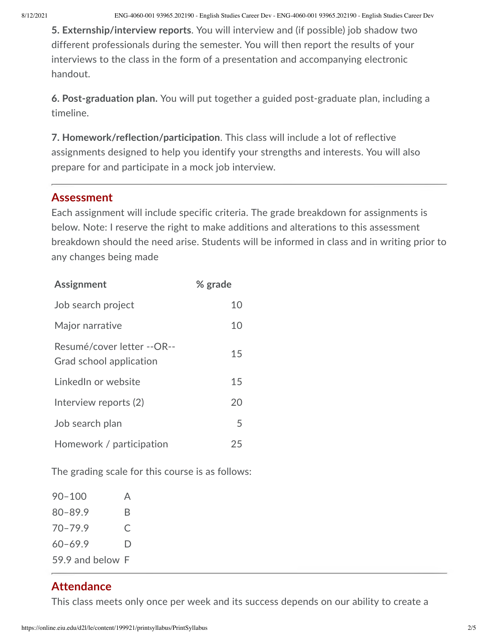8/12/2021 ENG-4060-001 93965.202190 - English Studies Career Dev - ENG-4060-001 93965.202190 - English Studies Career Dev

**5. Externship/interview reports**. You will interview and (if possible) job shadow two different professionals during the semester. You will then report the results of your interviews to the class in the form of a presentation and accompanying electronic handout.

**6. Post-graduation plan.** You will put together a guided post-graduate plan, including a timeline.

**7. Homework/reflection/participation**. This class will include a lot of reflective assignments designed to help you identify your strengths and interests. You will also prepare for and participate in a mock job interview.

#### **Assessment**

Each assignment will include specific criteria. The grade breakdown for assignments is below. Note: I reserve the right to make additions and alterations to this assessment breakdown should the need arise. Students will be informed in class and in writing prior to any changes being made

| <b>Assignment</b>                                     | % grade |
|-------------------------------------------------------|---------|
| Job search project                                    | 10      |
| Major narrative                                       | 10      |
| Resumé/cover letter --OR--<br>Grad school application | 15      |
| LinkedIn or website                                   | 15      |
| Interview reports (2)                                 | 20      |
| Job search plan                                       | 5       |
| Homework / participation                              | 25      |

The grading scale for this course is as follows:

| $90 - 100$       | A |
|------------------|---|
| $80 - 89.9$      | R |
| $70 - 79.9$      | C |
| $60 - 69.9$      | D |
| 59.9 and below F |   |

## **Attendance**

This class meets only once per week and its success depends on our ability to create a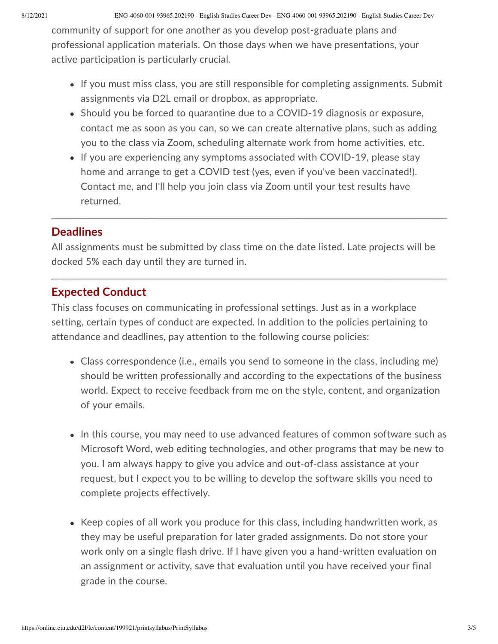community of support for one another as you develop post-graduate plans and professional application materials. On those days when we have presentations, your active participation is particularly crucial.

- If you must miss class, you are still responsible for completing assignments. Submit assignments via D2L email or dropbox, as appropriate.
- Should you be forced to quarantine due to a COVID-19 diagnosis or exposure, contact me as soon as you can, so we can create alternative plans, such as adding you to the class via Zoom, scheduling alternate work from home activities, etc.
- If you are experiencing any symptoms associated with COVID-19, please stay home and arrange to get a COVID test (yes, even if you've been vaccinated!). Contact me, and I'll help you join class via Zoom until your test results have returned.

## **Deadlines**

All assignments must be submitted by class time on the date listed. Late projects will be docked 5% each day until they are turned in.

## **Expected Conduct**

This class focuses on communicating in professional settings. Just as in a workplace setting, certain types of conduct are expected. In addition to the policies pertaining to attendance and deadlines, pay attention to the following course policies:

- Class correspondence (i.e., emails you send to someone in the class, including me) should be written professionally and according to the expectations of the business world. Expect to receive feedback from me on the style, content, and organization of your emails.
- In this course, you may need to use advanced features of common software such as Microsoft Word, web editing technologies, and other programs that may be new to you. I am always happy to give you advice and out-of-class assistance at your request, but I expect you to be willing to develop the software skills you need to complete projects effectively.
- Keep copies of all work you produce for this class, including handwritten work, as they may be useful preparation for later graded assignments. Do not store your work only on a single flash drive. If I have given you a hand-written evaluation on an assignment or activity, save that evaluation until you have received your final grade in the course.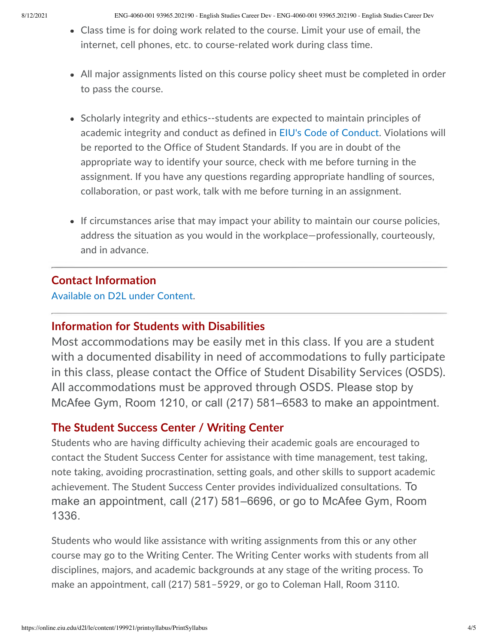8/12/2021 ENG-4060-001 93965.202190 - English Studies Career Dev - ENG-4060-001 93965.202190 - English Studies Career Dev

- Class time is for doing work related to the course. Limit your use of email, the internet, cell phones, etc. to course-related work during class time.
- All major assignments listed on this course policy sheet must be completed in order to pass the course.
- Scholarly integrity and ethics--students are expected to maintain principles of academic integrity and conduct as defined in [EIU's Code of Conduct](http://www.eiu.edu/judicial/studentconductcode.php). Violations will be reported to the Office of Student Standards. If you are in doubt of the appropriate way to identify your source, check with me before turning in the assignment. If you have any questions regarding appropriate handling of sources, collaboration, or past work, talk with me before turning in an assignment.
- If circumstances arise that may impact your ability to maintain our course policies, address the situation as you would in the workplace—professionally, courteously, and in advance.

#### **Contact Information**

[Available on D2L under Content](https://online.eiu.edu/d2l/common/dialogs/quickLink/quickLink.d2l?ou=199921&type=content&rcode=EIU-1390812).

#### **Information for Students with Disabilities**

Most accommodations may be easily met in this class. If you are a student with a documented disability in need of accommodations to fully participate in this class, please contact the Office of Student Disability Services (OSDS). All accommodations must be approved through OSDS. Please stop by McAfee Gym, Room 1210, or call (217) 581–6583 to make an appointment.

## **The Student Success Center / Writing Center**

Students who are having difficulty achieving their academic goals are encouraged to contact the Student Success Center for assistance with time management, test taking, note taking, avoiding procrastination, setting goals, and other skills to support academic achievement. The Student Success Center provides individualized consultations. To make an appointment, call (217) 581–6696, or go to McAfee Gym, Room 1336.

Students who would like assistance with writing assignments from this or any other course may go to the Writing Center. The Writing Center works with students from all disciplines, majors, and academic backgrounds at any stage of the writing process. To make an appointment, call (217) 581–5929, or go to Coleman Hall, Room 3110.